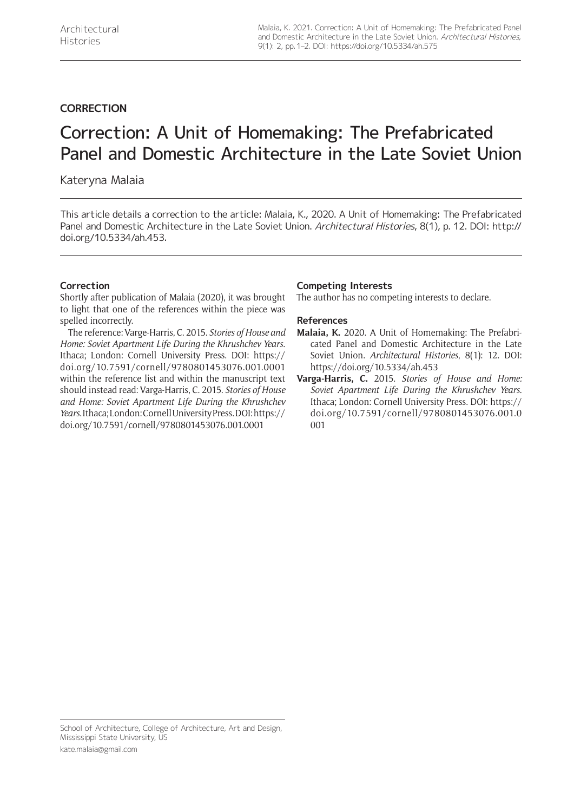# **CORRECTION**

# Correction: A Unit of Homemaking: The Prefabricated Panel and Domestic Architecture in the Late Soviet Union

## Kateryna Malaia

This article details a correction to the article: Malaia, K., 2020. A Unit of Homemaking: The Prefabricated Panel and Domestic Architecture in the Late Soviet Union. Architectural Histories, 8(1), p. 12. DOI: [http://](http://doi.org/10.5334/ah.453) [doi.org/10.5334/ah.453](http://doi.org/10.5334/ah.453).

## **Correction**

Shortly after publication of Malaia (2020), it was brought to light that one of the references within the piece was spelled incorrectly.

The reference: Varge-Harris, C. 2015. *Stories of House and Home: Soviet Apartment Life During the Khrushchev Years*. Ithaca; London: Cornell University Press. DOI: [https://](https://doi.org/10.7591/cornell/9780801453076.001.0001) [doi.org/10.7591/cornell/9780801453076.001.0001](https://doi.org/10.7591/cornell/9780801453076.001.0001) within the reference list and within the manuscript text should instead read: Varga-Harris, C. 2015. *Stories of House and Home: Soviet Apartment Life During the Khrushchev Years*. Ithaca; London: Cornell University Press. DOI: [https://](https://doi.org/10.7591/cornell/9780801453076.001.0001) [doi.org/10.7591/cornell/9780801453076.001.0001](https://doi.org/10.7591/cornell/9780801453076.001.0001)

### **Competing Interests**

The author has no competing interests to declare.

#### **References**

- **Malaia, K.** 2020. A Unit of Homemaking: The Prefabricated Panel and Domestic Architecture in the Late Soviet Union. *Architectural Histories*, 8(1): 12. DOI: <https://doi.org/10.5334/ah.453>
- **Varga-Harris, C.** 2015. *Stories of House and Home: Soviet Apartment Life During the Khrushchev Years*. Ithaca; London: Cornell University Press. DOI: [https://](https://doi.org/10.7591/cornell/9780801453076.001.0001) [doi.org/10.7591/cornell/9780801453076.001.0](https://doi.org/10.7591/cornell/9780801453076.001.0001) [001](https://doi.org/10.7591/cornell/9780801453076.001.0001)